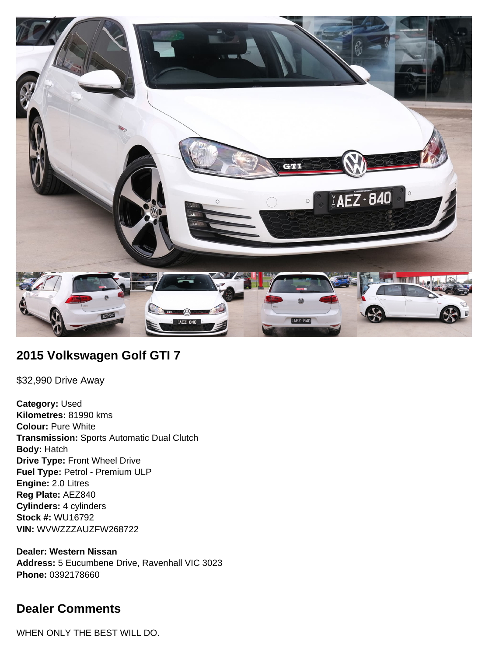

## **2015 Volkswagen Golf GTI 7**

\$32,990 Drive Away

**Category:** Used **Kilometres:** 81990 kms **Colour:** Pure White **Transmission:** Sports Automatic Dual Clutch **Body:** Hatch **Drive Type:** Front Wheel Drive **Fuel Type:** Petrol - Premium ULP **Engine:** 2.0 Litres **Reg Plate:** AEZ840 **Cylinders:** 4 cylinders **Stock #:** WU16792 **VIN:** WVWZZZAUZFW268722

**Dealer: Western Nissan Address:** 5 Eucumbene Drive, Ravenhall VIC 3023 **Phone:** 0392178660

# **Dealer Comments**

WHEN ONLY THE BEST WILL DO.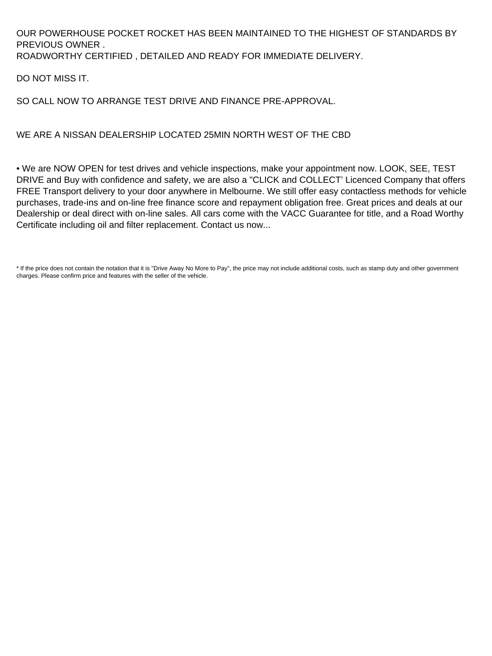#### OUR POWERHOUSE POCKET ROCKET HAS BEEN MAINTAINED TO THE HIGHEST OF STANDARDS BY PREVIOUS OWNER . ROADWORTHY CERTIFIED , DETAILED AND READY FOR IMMEDIATE DELIVERY.

DO NOT MISS IT.

#### SO CALL NOW TO ARRANGE TEST DRIVE AND FINANCE PRE-APPROVAL.

#### WE ARE A NISSAN DEALERSHIP LOCATED 25MIN NORTH WEST OF THE CBD

• We are NOW OPEN for test drives and vehicle inspections, make your appointment now. LOOK, SEE, TEST DRIVE and Buy with confidence and safety, we are also a "CLICK and COLLECT' Licenced Company that offers FREE Transport delivery to your door anywhere in Melbourne. We still offer easy contactless methods for vehicle purchases, trade-ins and on-line free finance score and repayment obligation free. Great prices and deals at our Dealership or deal direct with on-line sales. All cars come with the VACC Guarantee for title, and a Road Worthy Certificate including oil and filter replacement. Contact us now...

\* If the price does not contain the notation that it is "Drive Away No More to Pay", the price may not include additional costs, such as stamp duty and other government charges. Please confirm price and features with the seller of the vehicle.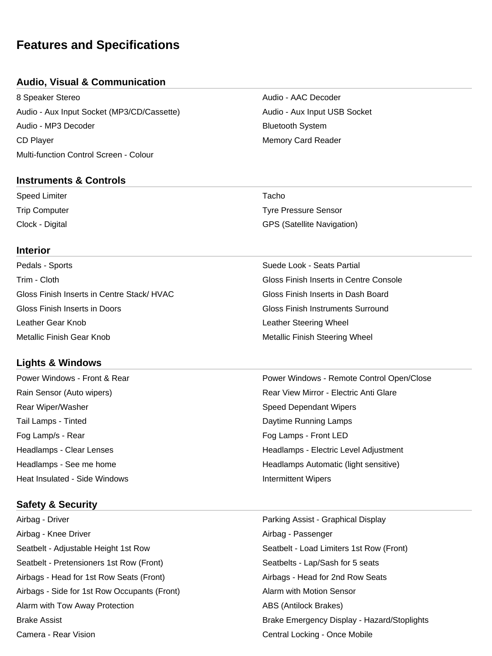# **Features and Specifications**

#### **Audio, Visual & Communication**

8 Speaker Stereo **Audio - AAC Decoder** Audio - AAC Decoder Audio - Aux Input Socket (MP3/CD/Cassette) Audio - Aux Input USB Socket Audio - MP3 Decoder **Bluetooth System** Bluetooth System CD Player Memory Card Reader Multi-function Control Screen - Colour

# **Instruments & Controls**

| Speed Limiter   | Tacho                             |
|-----------------|-----------------------------------|
| Trip Computer   | <b>Tyre Pressure Sensor</b>       |
| Clock - Digital | <b>GPS (Satellite Navigation)</b> |

#### **Interior**

| Pedals - Sports                           | Suede Look - Seats Partial               |
|-------------------------------------------|------------------------------------------|
| Trim - Cloth                              | Gloss Finish Inserts in Centre Console   |
| Gloss Finish Inserts in Centre Stack/HVAC | Gloss Finish Inserts in Dash Board       |
| Gloss Finish Inserts in Doors             | <b>Gloss Finish Instruments Surround</b> |
| Leather Gear Knob                         | Leather Steering Wheel                   |
| Metallic Finish Gear Knob                 | <b>Metallic Finish Steering Wheel</b>    |

#### **Lights & Windows**

Power Windows - Front & Rear Power Windows - Remote Control Open/Close Rain Sensor (Auto wipers) The Community Rear View Mirror - Electric Anti Glare Rear Wiper/Washer North Speed Dependant Wipers Tail Lamps - Tinted Daytime Running Lamps Fog Lamp/s - Rear Form Fog Lamps - Front LED Headlamps - Clear Lenses **Headlamps - Electric Level Adjustment** Headlamps - See me home **Headlamps** Automatic (light sensitive) Heat Insulated - Side Windows **Intermittent Wipers Intermittent Wipers** 

#### **Safety & Security**

Airbag - Driver Parking Assist - Graphical Display Airbag - Knee Driver **Aircrease and Airbag - Passenger** Airbag - Passenger Seatbelt - Adjustable Height 1st Row Seatbelt - Load Limiters 1st Row (Front) Seatbelt - Pretensioners 1st Row (Front) Seatbelts - Lap/Sash for 5 seats Airbags - Head for 1st Row Seats (Front) Airbags - Head for 2nd Row Seats Airbags - Side for 1st Row Occupants (Front) Alarm with Motion Sensor Alarm with Tow Away Protection **ABS** (Antilock Brakes) ABS (Antilock Brakes) Camera - Rear Vision Central Locking - Once Mobile

Brake Assist Brake Emergency Display - Hazard/Stoplights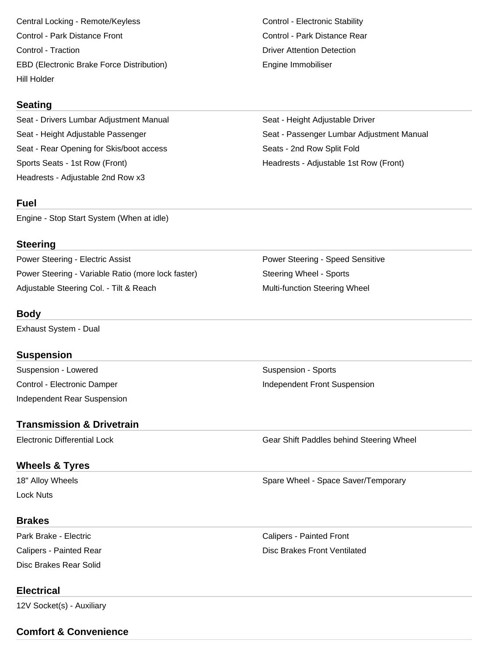Central Locking - Remote/Keyless Control - Electronic Stability Control - Park Distance Front Control - Park Distance Rear Control - Traction **Control - Traction** Detection Detection Detection Detection EBD (Electronic Brake Force Distribution) The Engine Immobiliser Hill Holder

#### **Seating**

Seat - Drivers Lumbar Adjustment Manual Seat - Height Adjustable Driver Seat - Rear Opening for Skis/boot access Seats - 2nd Row Split Fold Sports Seats - 1st Row (Front) The Sports Seats - Adjustable 1st Row (Front) Headrests - Adjustable 2nd Row x3

#### **Fuel**

Engine - Stop Start System (When at idle)

#### **Steering**

Power Steering - Electric Assist **Power Steering - Speed Sensitive** Power Steering - Speed Sensitive Power Steering - Variable Ratio (more lock faster) Steering Wheel - Sports Adjustable Steering Col. - Tilt & Reach Multi-function Steering Wheel

#### **Body**

Exhaust System - Dual

#### **Suspension**

Suspension - Lowered **Suspension - Sports** Suspension - Sports Control - Electronic Damper **Independent Front Suspension** Independent Rear Suspension

#### **Transmission & Drivetrain**

## **Wheels & Tyres**

18" Alloy Wheels **Spare Wheel - Space Saver/Temporary** Spare Wheel - Space Saver/Temporary Lock Nuts

#### **Brakes**

Disc Brakes Rear Solid

### Park Brake - Electric **Calipers - Painted Front** Calipers - Painted Rear  $\Box$  Disc Brakes Front Ventilated

Seat - Height Adjustable Passenger Seat - Passenger Lumbar Adjustment Manual

Electronic Differential Lock Gear Shift Paddles behind Steering Wheel

# **Electrical**

12V Socket(s) - Auxiliary

**Comfort & Convenience**